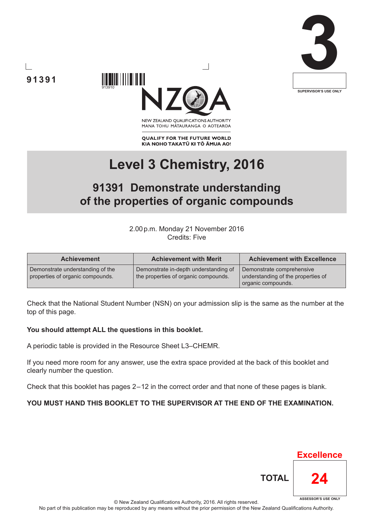





NEW ZEALAND OUALIFICATIONS AUTHORITY MANA TOHU MĀTAURANGA O AOTEAROA

**QUALIFY FOR THE FUTURE WORLD** KIA NOHO TAKATŪ KI TŌ ĀMUA AO!

# **Level 3 Chemistry, 2016**

# **91391 Demonstrate understanding of the properties of organic compounds**

2.00p.m. Monday 21 November 2016 Credits: Five

| <b>Achievement</b>                                                   | <b>Achievement with Merit</b>                                                 | <b>Achievement with Excellence</b>                                                    |
|----------------------------------------------------------------------|-------------------------------------------------------------------------------|---------------------------------------------------------------------------------------|
| Demonstrate understanding of the<br>properties of organic compounds. | Demonstrate in-depth understanding of<br>the properties of organic compounds. | Demonstrate comprehensive<br>understanding of the properties of<br>organic compounds. |

Check that the National Student Number (NSN) on your admission slip is the same as the number at the top of this page.

#### **You should attempt ALL the questions in this booklet.**

A periodic table is provided in the Resource Sheet L3–CHEMR.

If you need more room for any answer, use the extra space provided at the back of this booklet and clearly number the question.

Check that this booklet has pages 2 – 12 in the correct order and that none of these pages is blank.

### **YOU MUST HAND THIS BOOKLET TO THE SUPERVISOR AT THE END OF THE EXAMINATION.**

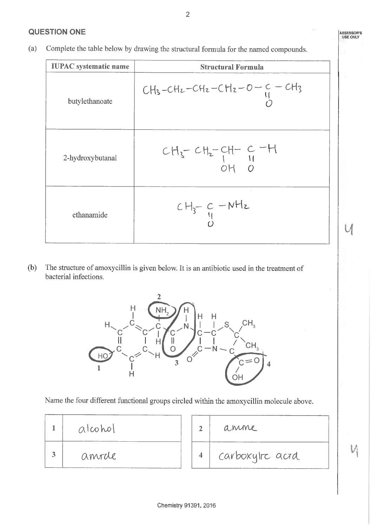Complete the table below by drawing the structural formula for the named compounds.  $(a)$ 

| <b>IUPAC</b> systematic name | <b>Structural Formula</b>                     |  |
|------------------------------|-----------------------------------------------|--|
| butylethanoate               | $CH_3-CH_2-CH_2-CH_2-O-C=CH_3$                |  |
| 2-hydroxybutanal             | $CH_{3}$ - $CH_{2}$ - $CH_{-}$ $C$ -H<br>OH 0 |  |
| ethanamide                   | $\pm$ 1<br>$CH_{3}-C-NH_{2}$                  |  |

 $(b)$ The structure of amoxycillin is given below. It is an antibiotic used in the treatment of bacterial infections.



Name the four different functional groups circled within the amoxycillin molecule above.

| alcohol |  |
|---------|--|
| amrale  |  |

anime  $\overline{2}$ carboxylre actd  $\overline{\mathbf{4}}$ 

 $\overline{2}$ 

**ASSESSOR'S**<br>USE ONLY

 $\bigcup$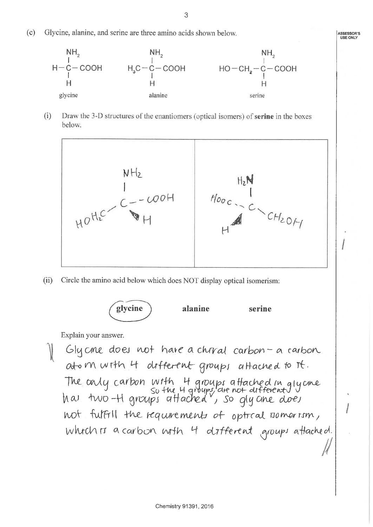$(c)$ Glycine, alanine, and serine are three amino acids shown below.



Draw the 3-D structures of the enantiomers (optical isomers) of serine in the boxes  $(i)$ below.



 $(ii)$ Circle the amino acid below which does NOT display optical isomerism:



Explain your answer.

Glycne does not have a chrval carbon - a carbon atom with 4 different groups attached to it. The only carbon with 4 groups attached in glycine<br>so the 4 groups are not different 1<br>has two -H groups attached, so gly ane does not fulfill the requirements of optical nomerism, which is a carbon with 4 different groups attached.

**ASSESSOR'S**<br>USE ONLY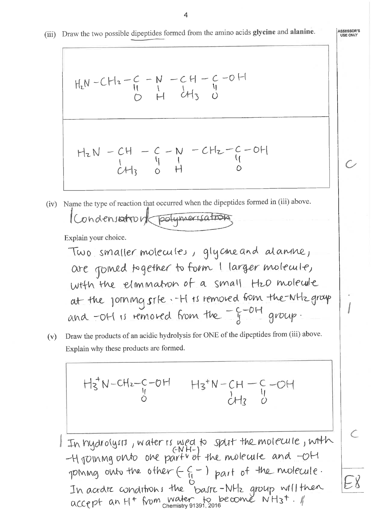$$
H_{2}N-CH_{2}-C-N-CH-C-O-H
$$
  
  $\begin{array}{c} 1 & 1 & 1\\ 0 & H & 1\\ \end{array}$ 

$$
HLN - CH - C - N - CH_{2} - C - OH
$$
  
\n $CH_{3} \t O + C$ 

(iv) Name the type of reaction that occurred when the dipeptides formed in (iii) above. Condensation of polymerisation

Explain your choice.

 $\perp$ 

Two smaller molecules, glycene and alanne,   
\nare joined together to form I larger molecule,  
\nwith the elimination of a small Hzo molecule  
\nat the journey
$$
s
$$
rts removed from the-WHz group  
\nand -OH is removed from the  $-5 - 0 + 0$  group.

Draw the products of an acidic hydrolysis for ONE of the dipeptides from (iii) above.  $(v)$ Explain why these products are formed.

$$
H_3 W-CH_2-C-OH
$$
  
\n $H_3 W-CH_2-C-OH$   
\n $H_3 W-CH_3$   
\n $CH_2$   
\n $CH_3$   
\n $CH_3$   
\n $CH_3$   
\n $CH_3$   
\n $CH_3$   
\n $CH_3$   
\n $CH_3$   
\n $CH_3$   
\n $CH_3$   
\n $CH_3$   
\n $CH_3$   
\n $CH_3$   
\n $CH_3$   
\n $CH_3$   
\n $CH_3$   
\n $CH_3$   
\n $CH_3$   
\n $CH_3$   
\n $CH_3$   
\n $CH_3$   
\n $CH_3$   
\n $CH_3$   
\n $CH_3$   
\n $CH_3$   
\n $CH_3$   
\n $CH_3$   
\n $CH_3$   
\n $CH_3$   
\n $CH_3$   
\n $CH_3$   
\n $CH_3$   
\n $CH_3$   
\n $CH_3$   
\n $CH_3$   
\n $CH_3$   
\n $CH_3$   
\n $CH_3$   
\n $CH_3$   
\n $CH_3$   
\n $CH_3$   
\n $CH_3$   
\n $CH_3$   
\n $CH_3$   
\n $CH_3$   
\n $CH_3$   
\n $CH_3$   
\n $CH_3$   
\n $CH_3$   
\n $CH_3$   
\n $CH_3$   
\n $CH_3$   
\n $CH_3$   
\n $CH_3$   
\n $CH_3$   
\n $CH_3$   
\n $CH_3$   
\n $CH_3$   
\n $CH_3$   
\n

ASSESSOR'S<br>USE ONLY

 $\mathcal{C}$ 

EX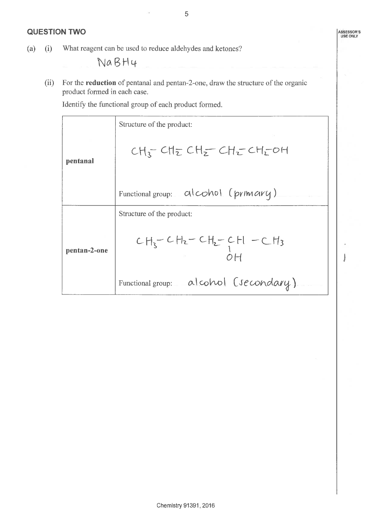#### **QUESTION TWO**

What reagent can be used to reduce aldehydes and ketones?  $(a)$  $(i)$ 

**NaBH4** 

For the reduction of pentanal and pentan-2-one, draw the structure of the organic  $(ii)$ product formed in each case.

Identify the functional group of each product formed.

|              | Structure of the product:                 |  |  |
|--------------|-------------------------------------------|--|--|
| pentanal     | $CH_2$ $CH_2$ $CH_2$ $CH_2$ $CH_2$ $OH_2$ |  |  |
|              | alcohol (primary)<br>Functional group:    |  |  |
|              | Structure of the product:                 |  |  |
| pentan-2-one | $CH_3-CH_2-CH_2-CH$ - CH <sub>3</sub>     |  |  |
|              | alcohol (secondary)<br>Functional group:  |  |  |

ASSESSOR'S<br>USE ONLY

j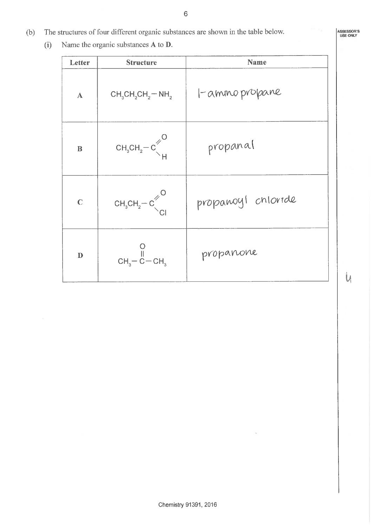- The structures of four different organic substances are shown in the table below.  $(b)$ 
	- $(i)$ Name the organic substances A to D.

| Letter       | <b>Structure</b>                                            | Name               |  |  |
|--------------|-------------------------------------------------------------|--------------------|--|--|
| $\mathbf{A}$ | $CH_3CH_2CH_2-NH_2$                                         | I-ammo propane     |  |  |
| $\bf{B}$     | $CH3CH2-C\left\{\begin{matrix} 1\\  1 \end{matrix}\right\}$ | propanal           |  |  |
| $\mathbf C$  | $CH_3CH_2-C\begin{matrix}^{\prime}\\ C\end{matrix}$         | propanoyl chloride |  |  |
| $\mathbf{D}$ | $CH3 - \overset{\cup}{C} - CH3$                             | propanone          |  |  |

 $6\phantom{a}$ 

 $\mathsf{U}$ 

ASSESSOR'S<br>USE ONLY

ò.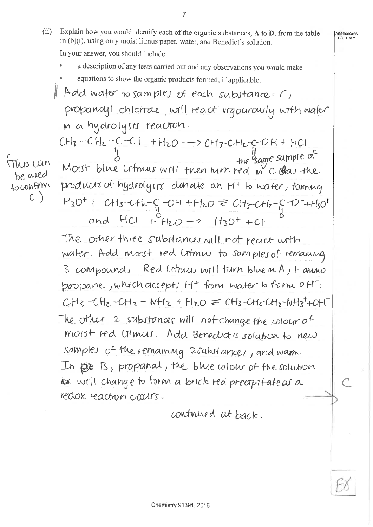Explain how you would identify each of the organic substances, A to D, from the table  $(ii)$ in (b)(i), using only moist litmus paper, water, and Benedict's solution. In your answer, you should include:

ASSESSOR'S<br>USE ONLY

 $\overline{7}$ 

- a description of any tests carried out and any observations you would make
- equations to show the organic products formed, if applicable. Add water to samples of each substance  $c$ , propanoyl chloride, will react rigourowly with water m a hydrolysts reaction.

 $CH<sub>3</sub>-CH<sub>2</sub>-C-C1 + H<sub>2</sub>O \longrightarrow CH<sub>3</sub>-CH<sub>2</sub>-C-O H + HCl$ <br>Morst blue Crfmus writ then turn red m'C Quar the  $\pi_{\text{abs}}$  can be wred products of hydrolysts clonate an H+ to water, foming to confirm  $H_3O^+$  CH3-CH2-C-OH +H2O = CH3-CH2-C-O-+H3O<sup>T</sup> and  $HCl + H_2O \rightarrow H_3O^+ + Cl^-$ 

 $\subset$ )

The other three substances will not react with water. Add morst red Litmus to samples of remaining 3 compounds. Red Utmus will turn blue m A, I-amino propane, which accepts Ht from water to form off.  $CH_8-CH_2-CH_2-NH_2+H_{2O} \geq CH_3-CH_2CH_2-NH_3+OH$ The other 2 substances will not change the colour of morst red Utmus. Add Benedict's solution to new samples of the remaining 2substances, and warm. In EDG B, propanal, the blue whole of the solution to will change to form a brick red precipitate as a redox reaction occurs.

continued at back.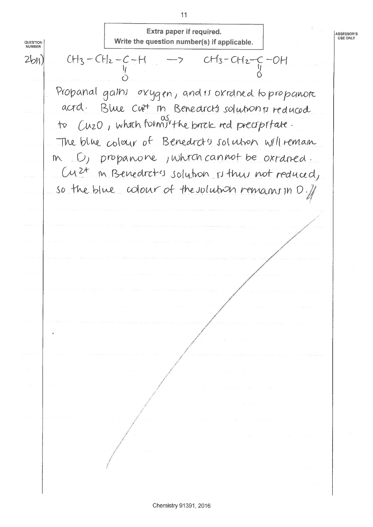$11$ Extra paper if required. ASSESSOR'S<br>USE ONLY Write the question number(s) if applicable. QUESTION<br>NUMBER  $CH_3-CH_2-C-H$  ->  $CH_3-CH_2-C-H$ <br>0  $2b<sub>H</sub>$ Propanal gains oxygen, and is oxidned to propanote acrd. Blue cut in Benedicts solutions reduced to Cuzo, which form<sup>og</sup> the birck red precipitate. The blue colour of Benedrato solution will remain m D, propanone, which cannot be oxided. Cuzt in Benedicts solution rithus not reduced, so the blue colour of the volution remains in D. 11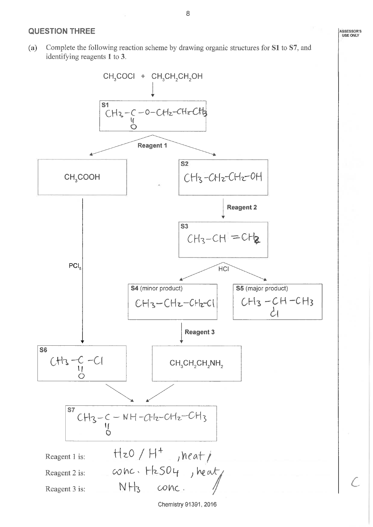#### **QUESTION THREE**

 $(a)$ Complete the following reaction scheme by drawing organic structures for S1 to S7, and identifying reagents 1 to 3.



Chemistry 91391, 2016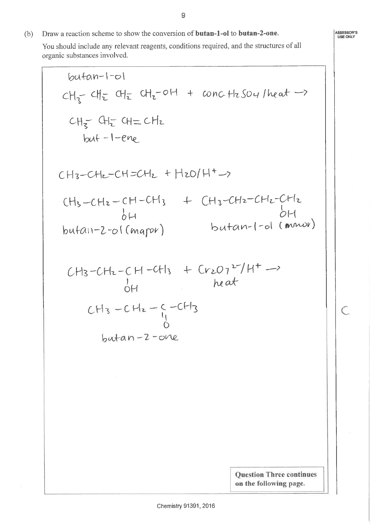Draw a reaction scheme to show the conversion of butan-1-ol to butan-2-one.  $(b)$ You should include any relevant reagents, conditions required, and the structures of all organic substances involved.

$$
butan-1-o1
$$
\n
$$
CH_{5} - CH_{2} - CH_{2} + CO_{1} + \text{conc.H}_{2}SO_{4}/heat \rightarrow
$$
\n
$$
CH_{5} - CH_{2} - CH_{2} - CH_{2} + H_{2}O/H + \rightarrow
$$
\n
$$
CH_{3} - CH_{2} - CH_{2} - CH_{2} + H_{2}O/H + \rightarrow
$$
\n
$$
CH_{3} - CH_{2} - CH_{2} - CH_{3} + CH_{3} - CH_{2} - CH_{2} - CH_{2}
$$
\n
$$
butan-2-o1(\text{mapr}) \qquad butan-1-o1(\text{upr} \rightarrow
$$
\n
$$
CH_{3} - CH_{2} - CH_{1} - C + H_{3} + Cr_{2}O_{1} + H_{3} + \rightarrow
$$
\n
$$
CH_{3} - CH_{2} - C - CH_{3}
$$
\n
$$
butan-2 - one
$$
\n
$$
Outan-2 - one
$$
\n
$$
Outin The continues on the following page.
$$

ASSESSOR'S<br>USE ONLY

 $\overline{C}$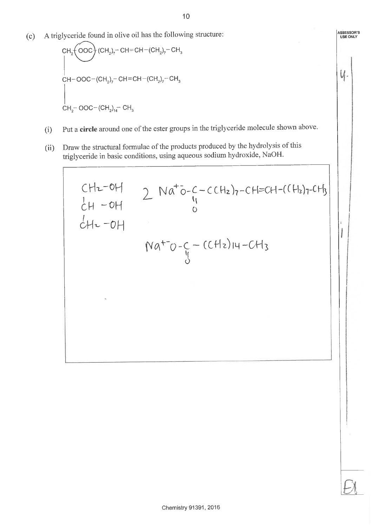ASSESSOR'S<br>USE ONLY

 $U_1$ .

I

A triglyceride found in olive oil has the following structure:  $(c)$ 

- Put a circle around one of the ester groups in the triglyceride molecule shown above.  $(i)$
- Draw the structural formulae of the products produced by the hydrolysis of this  $(ii)$ triglyceride in basic conditions, using aqueous sodium hydroxide, NaOH.

CHz-OH  
\n
$$
CH2-OH
$$
  
\n $CH2-OH$   
\n $CH2-OH$   
\n $CH2-OH$   
\n $Na+O-C-C(H2)H-CH3$   
\n $Na+O-C-C(H2)H-CH3$   
\n $Na+O-C-C(H2)H-CH3$